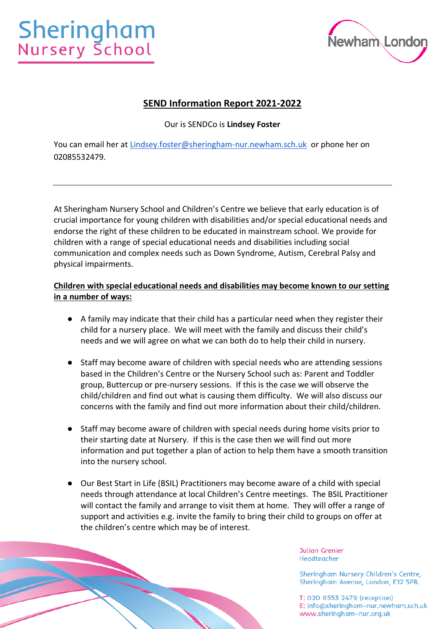

# **SEND Information Report 2021-2022**

Our is SENDCo is **Lindsey Foster**

You can email her at [Lindsey.foster@sheringham-nur.newham.sch.uk](mailto:Lindsey.foster@sheringham-nur.newham.sch.uk) or phone her on 02085532479.

At Sheringham Nursery School and Children's Centre we believe that early education is of crucial importance for young children with disabilities and/or special educational needs and endorse the right of these children to be educated in mainstream school. We provide for children with a range of special educational needs and disabilities including social communication and complex needs such as Down Syndrome, Autism, Cerebral Palsy and physical impairments.

## **Children with special educational needs and disabilities may become known to our setting in a number of ways:**

- A family may indicate that their child has a particular need when they register their child for a nursery place. We will meet with the family and discuss their child's needs and we will agree on what we can both do to help their child in nursery.
- Staff may become aware of children with special needs who are attending sessions based in the Children's Centre or the Nursery School such as: Parent and Toddler group, Buttercup or pre-nursery sessions. If this is the case we will observe the child/children and find out what is causing them difficulty. We will also discuss our concerns with the family and find out more information about their child/children.
- Staff may become aware of children with special needs during home visits prior to their starting date at Nursery. If this is the case then we will find out more information and put together a plan of action to help them have a smooth transition into the nursery school.
- Our Best Start in Life (BSIL) Practitioners may become aware of a child with special needs through attendance at local Children's Centre meetings. The BSIL Practitioner will contact the family and arrange to visit them at home. They will offer a range of support and activities e.g. invite the family to bring their child to groups on offer at the children's centre which may be of interest.

**Julian Grenier Headteacher** 

Sheringham Nursery Children's Centre, Sheringham Avenue, London, E12 5PB.

T: 020 8553 2479 (reception) E: info@sheringham-nur.newham.sch.uk www.sheringham-nur.org.uk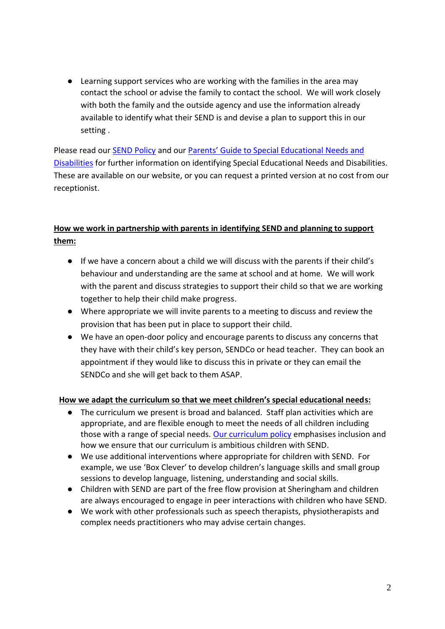● Learning support services who are working with the families in the area may contact the school or advise the family to contact the school. We will work closely with both the family and the outside agency and use the information already available to identify what their SEND is and devise a plan to support this in our setting .

Please read our [SEND Policy](https://www.sheringham-nur.org.uk/wp-content/uploads/simple-file-list/SEND-and-Equalities/SEND-Policy-2021.pdf) and our [Parents' Guide to Special Educational Needs and](https://www.sheringham-nur.org.uk/wp-content/uploads/simple-file-list/SEND-and-Equalities/SNCC-Parents-Guide-to-SEND.pdf)  [Disabilities](https://www.sheringham-nur.org.uk/wp-content/uploads/simple-file-list/SEND-and-Equalities/SNCC-Parents-Guide-to-SEND.pdf) for further information on identifying Special Educational Needs and Disabilities. These are available on our website, or you can request a printed version at no cost from our receptionist.

# **How we work in partnership with parents in identifying SEND and planning to support them:**

- If we have a concern about a child we will discuss with the parents if their child's behaviour and understanding are the same at school and at home. We will work with the parent and discuss strategies to support their child so that we are working together to help their child make progress.
- Where appropriate we will invite parents to a meeting to discuss and review the provision that has been put in place to support their child.
- We have an open-door policy and encourage parents to discuss any concerns that they have with their child's key person, SENDCo or head teacher. They can book an appointment if they would like to discuss this in private or they can email the SENDCo and she will get back to them ASAP.

#### **How we adapt the curriculum so that we meet children's special educational needs:**

- The curriculum we present is broad and balanced. Staff plan activities which are appropriate, and are flexible enough to meet the needs of all children including those with a range of special needs. [Our curriculum policy](https://www.sheringham-nur.org.uk/wp-content/uploads/simple-file-list/Education/SNSCC-Curriculum-Overview-and-Curricular-Goals-Sep-21-update.pdf) emphasises inclusion and how we ensure that our curriculum is ambitious children with SEND.
- We use additional interventions where appropriate for children with SEND. For example, we use 'Box Clever' to develop children's language skills and small group sessions to develop language, listening, understanding and social skills.
- Children with SEND are part of the free flow provision at Sheringham and children are always encouraged to engage in peer interactions with children who have SEND.
- We work with other professionals such as speech therapists, physiotherapists and complex needs practitioners who may advise certain changes.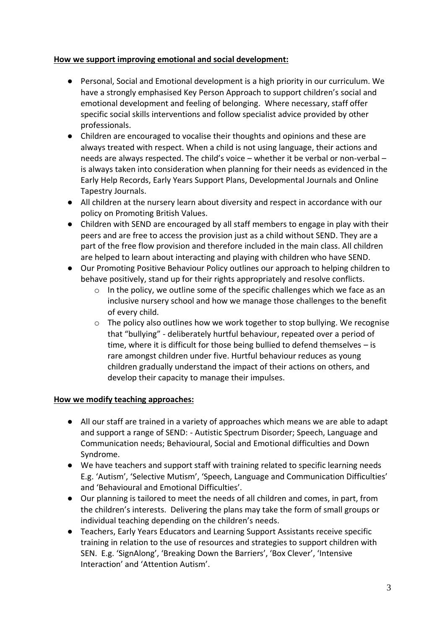#### **How we support improving emotional and social development:**

- Personal, Social and Emotional development is a high priority in our curriculum. We have a strongly emphasised Key Person Approach to support children's social and emotional development and feeling of belonging. Where necessary, staff offer specific social skills interventions and follow specialist advice provided by other professionals.
- Children are encouraged to vocalise their thoughts and opinions and these are always treated with respect. When a child is not using language, their actions and needs are always respected. The child's voice – whether it be verbal or non-verbal – is always taken into consideration when planning for their needs as evidenced in the Early Help Records, Early Years Support Plans, Developmental Journals and Online Tapestry Journals.
- All children at the nursery learn about diversity and respect in accordance with our policy on Promoting British Values.
- Children with SEND are encouraged by all staff members to engage in play with their peers and are free to access the provision just as a child without SEND. They are a part of the free flow provision and therefore included in the main class. All children are helped to learn about interacting and playing with children who have SEND.
- Our Promoting Positive Behaviour Policy outlines our approach to helping children to behave positively, stand up for their rights appropriately and resolve conflicts.
	- o In the policy, we outline some of the specific challenges which we face as an inclusive nursery school and how we manage those challenges to the benefit of every child.
	- $\circ$  The policy also outlines how we work together to stop bullying. We recognise that "bullying" - deliberately hurtful behaviour, repeated over a period of time, where it is difficult for those being bullied to defend themselves – is rare amongst children under five. Hurtful behaviour reduces as young children gradually understand the impact of their actions on others, and develop their capacity to manage their impulses.

#### **How we modify teaching approaches:**

- All our staff are trained in a variety of approaches which means we are able to adapt and support a range of SEND: - Autistic Spectrum Disorder; Speech, Language and Communication needs; Behavioural, Social and Emotional difficulties and Down Syndrome.
- We have teachers and support staff with training related to specific learning needs E.g. 'Autism', 'Selective Mutism', 'Speech, Language and Communication Difficulties' and 'Behavioural and Emotional Difficulties'.
- Our planning is tailored to meet the needs of all children and comes, in part, from the children's interests. Delivering the plans may take the form of small groups or individual teaching depending on the children's needs.
- Teachers, Early Years Educators and Learning Support Assistants receive specific training in relation to the use of resources and strategies to support children with SEN. E.g. 'SignAlong', 'Breaking Down the Barriers', 'Box Clever', 'Intensive Interaction' and 'Attention Autism'.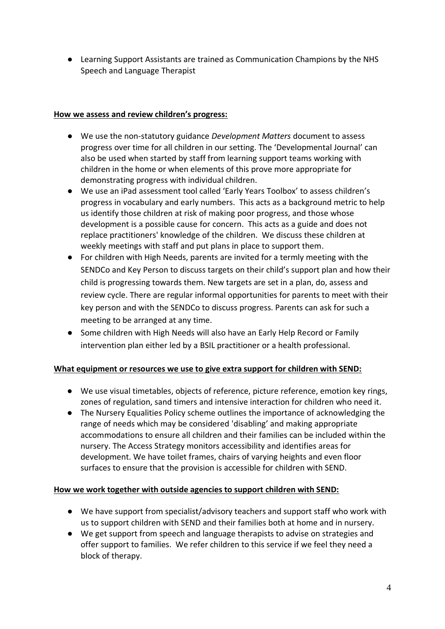● Learning Support Assistants are trained as Communication Champions by the NHS Speech and Language Therapist

#### **How we assess and review children's progress:**

- We use the non-statutory guidance *Development Matters* document to assess progress over time for all children in our setting. The 'Developmental Journal' can also be used when started by staff from learning support teams working with children in the home or when elements of this prove more appropriate for demonstrating progress with individual children.
- We use an iPad assessment tool called 'Early Years Toolbox' to assess children's progress in vocabulary and early numbers. This acts as a background metric to help us identify those children at risk of making poor progress, and those whose development is a possible cause for concern. This acts as a guide and does not replace practitioners' knowledge of the children. We discuss these children at weekly meetings with staff and put plans in place to support them.
- For children with High Needs, parents are invited for a termly meeting with the SENDCo and Key Person to discuss targets on their child's support plan and how their child is progressing towards them. New targets are set in a plan, do, assess and review cycle. There are regular informal opportunities for parents to meet with their key person and with the SENDCo to discuss progress. Parents can ask for such a meeting to be arranged at any time.
- Some children with High Needs will also have an Early Help Record or Family intervention plan either led by a BSIL practitioner or a health professional.

# **What equipment or resources we use to give extra support for children with SEND:**

- We use visual timetables, objects of reference, picture reference, emotion key rings, zones of regulation, sand timers and intensive interaction for children who need it.
- The Nursery Equalities Policy scheme outlines the importance of acknowledging the range of needs which may be considered 'disabling' and making appropriate accommodations to ensure all children and their families can be included within the nursery. The Access Strategy monitors accessibility and identifies areas for development. We have toilet frames, chairs of varying heights and even floor surfaces to ensure that the provision is accessible for children with SEND.

# **How we work together with outside agencies to support children with SEND:**

- We have support from specialist/advisory teachers and support staff who work with us to support children with SEND and their families both at home and in nursery.
- We get support from speech and language therapists to advise on strategies and offer support to families. We refer children to this service if we feel they need a block of therapy.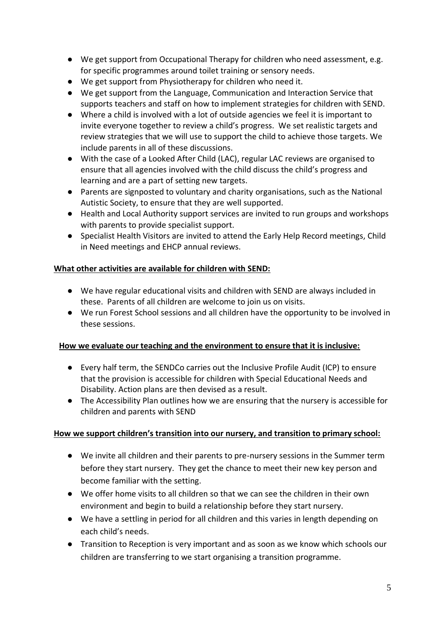- We get support from Occupational Therapy for children who need assessment, e.g. for specific programmes around toilet training or sensory needs.
- We get support from Physiotherapy for children who need it.
- We get support from the Language, Communication and Interaction Service that supports teachers and staff on how to implement strategies for children with SEND.
- Where a child is involved with a lot of outside agencies we feel it is important to invite everyone together to review a child's progress. We set realistic targets and review strategies that we will use to support the child to achieve those targets. We include parents in all of these discussions.
- With the case of a Looked After Child (LAC), regular LAC reviews are organised to ensure that all agencies involved with the child discuss the child's progress and learning and are a part of setting new targets.
- Parents are signposted to voluntary and charity organisations, such as the National Autistic Society, to ensure that they are well supported.
- Health and Local Authority support services are invited to run groups and workshops with parents to provide specialist support.
- Specialist Health Visitors are invited to attend the Early Help Record meetings, Child in Need meetings and EHCP annual reviews.

#### **What other activities are available for children with SEND:**

- We have regular educational visits and children with SEND are always included in these. Parents of all children are welcome to join us on visits.
- We run Forest School sessions and all children have the opportunity to be involved in these sessions.

#### **How we evaluate our teaching and the environment to ensure that it is inclusive:**

- Every half term, the SENDCo carries out the Inclusive Profile Audit (ICP) to ensure that the provision is accessible for children with Special Educational Needs and Disability. Action plans are then devised as a result.
- The Accessibility Plan outlines how we are ensuring that the nursery is accessible for children and parents with SEND

#### **How we support children's transition into our nursery, and transition to primary school:**

- We invite all children and their parents to pre-nursery sessions in the Summer term before they start nursery. They get the chance to meet their new key person and become familiar with the setting.
- We offer home visits to all children so that we can see the children in their own environment and begin to build a relationship before they start nursery.
- We have a settling in period for all children and this varies in length depending on each child's needs.
- Transition to Reception is very important and as soon as we know which schools our children are transferring to we start organising a transition programme.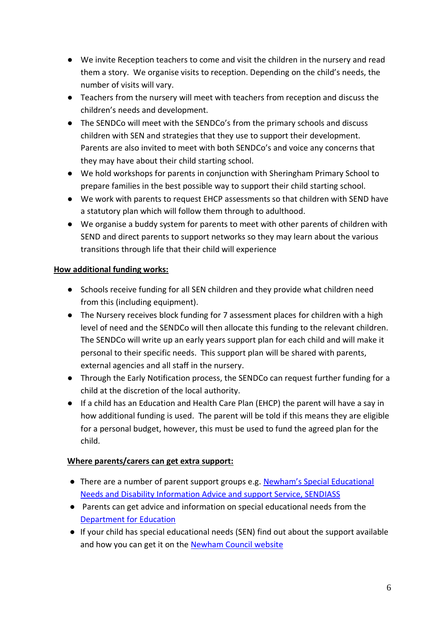- We invite Reception teachers to come and visit the children in the nursery and read them a story. We organise visits to reception. Depending on the child's needs, the number of visits will vary.
- Teachers from the nursery will meet with teachers from reception and discuss the children's needs and development.
- The SENDCo will meet with the SENDCo's from the primary schools and discuss children with SEN and strategies that they use to support their development. Parents are also invited to meet with both SENDCo's and voice any concerns that they may have about their child starting school.
- We hold workshops for parents in conjunction with Sheringham Primary School to prepare families in the best possible way to support their child starting school.
- We work with parents to request EHCP assessments so that children with SEND have a statutory plan which will follow them through to adulthood.
- We organise a buddy system for parents to meet with other parents of children with SEND and direct parents to support networks so they may learn about the various transitions through life that their child will experience

### **How additional funding works:**

- Schools receive funding for all SEN children and they provide what children need from this (including equipment).
- The Nursery receives block funding for 7 assessment places for children with a high level of need and the SENDCo will then allocate this funding to the relevant children. The SENDCo will write up an early years support plan for each child and will make it personal to their specific needs. This support plan will be shared with parents, external agencies and all staff in the nursery.
- Through the Early Notification process, the SENDCo can request further funding for a child at the discretion of the local authority.
- If a child has an Education and Health Care Plan (EHCP) the parent will have a say in how additional funding is used. The parent will be told if this means they are eligible for a personal budget, however, this must be used to fund the agreed plan for the child.

# **Where parents/carers can get extra support:**

- There are a number of parent support groups e.g. Newham's Special Educational [Needs and Disability Information Advice and support Service, SENDIASS](https://families.newham.gov.uk/kb5/newham/directory/localoffer.page?localofferchannel=8)
- Parents can get advice and information on special educational needs from the [Department for Education](https://www.gov.uk/children-with-special-educational-needs)
- If your child has special educational needs (SEN) find out about the support available and how you can get it on the [Newham Council website](https://families.newham.gov.uk/kb5/newham/directory/localoffer.page?localofferchannel=2)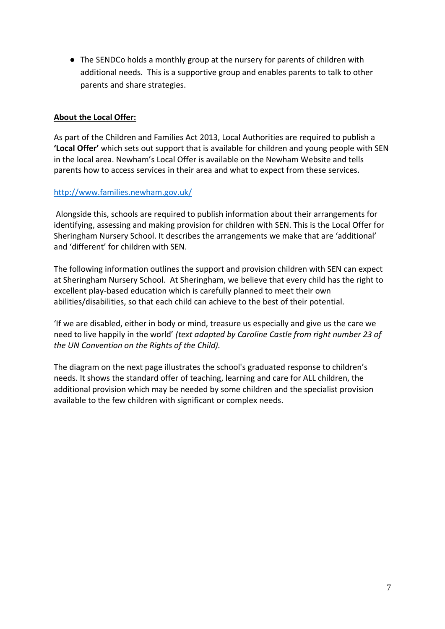● The SENDCo holds a monthly group at the nursery for parents of children with additional needs. This is a supportive group and enables parents to talk to other parents and share strategies.

#### **About the Local Offer:**

As part of the Children and Families Act 2013, Local Authorities are required to publish a **'Local Offer'** which sets out support that is available for children and young people with SEN in the local area. Newham's Local Offer is available on the Newham Website and tells parents how to access services in their area and what to expect from these services.

#### <http://www.families.newham.gov.uk/>

Alongside this, schools are required to publish information about their arrangements for identifying, assessing and making provision for children with SEN. This is the Local Offer for Sheringham Nursery School. It describes the arrangements we make that are 'additional' and 'different' for children with SEN.

The following information outlines the support and provision children with SEN can expect at Sheringham Nursery School. At Sheringham, we believe that every child has the right to excellent play-based education which is carefully planned to meet their own abilities/disabilities, so that each child can achieve to the best of their potential.

'If we are disabled, either in body or mind, treasure us especially and give us the care we need to live happily in the world' *(text adapted by Caroline Castle from right number 23 of the UN Convention on the Rights of the Child).*

The diagram on the next page illustrates the school's graduated response to children's needs. It shows the standard offer of teaching, learning and care for ALL children, the additional provision which may be needed by some children and the specialist provision available to the few children with significant or complex needs.